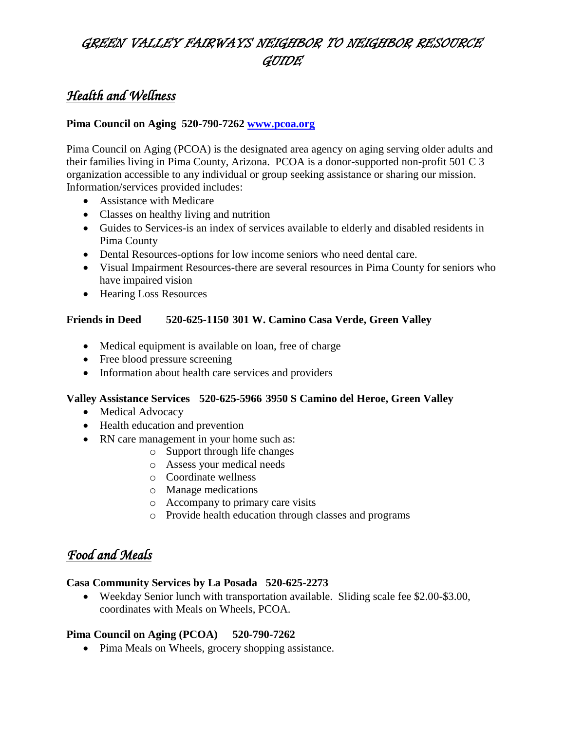# GREEN VALLEY FAIRWAYS NEIGHBOR TO NEIGHBOR RESOURCE GUIDE

# *Health and Wellness*

#### **Pima Council on Aging 520-790-7262 [www.pcoa.org](http://www.pcoa.org/)**

Pima Council on Aging (PCOA) is the designated area agency on aging serving older adults and their families living in Pima County, Arizona. PCOA is a donor-supported non-profit 501 C 3 organization accessible to any individual or group seeking assistance or sharing our mission. Information/services provided includes:

- Assistance with Medicare
- Classes on healthy living and nutrition
- Guides to Services-is an index of services available to elderly and disabled residents in Pima County
- Dental Resources-options for low income seniors who need dental care.
- Visual Impairment Resources-there are several resources in Pima County for seniors who have impaired vision
- Hearing Loss Resources

#### **Friends in Deed 520-625-1150 301 W. Camino Casa Verde, Green Valley**

- Medical equipment is available on loan, free of charge
- Free blood pressure screening
- Information about health care services and providers

#### **Valley Assistance Services 520-625-5966 3950 S Camino del Heroe, Green Valley**

- Medical Advocacy
- Health education and prevention
- RN care management in your home such as:
	- o Support through life changes
	- o Assess your medical needs
	- o Coordinate wellness
	- o Manage medications
	- o Accompany to primary care visits
	- o Provide health education through classes and programs

# *Food and Meals*

#### **Casa Community Services by La Posada 520-625-2273**

 Weekday Senior lunch with transportation available. Sliding scale fee \$2.00-\$3.00, coordinates with Meals on Wheels, PCOA.

#### **Pima Council on Aging (PCOA) 520-790-7262**

• Pima Meals on Wheels, grocery shopping assistance.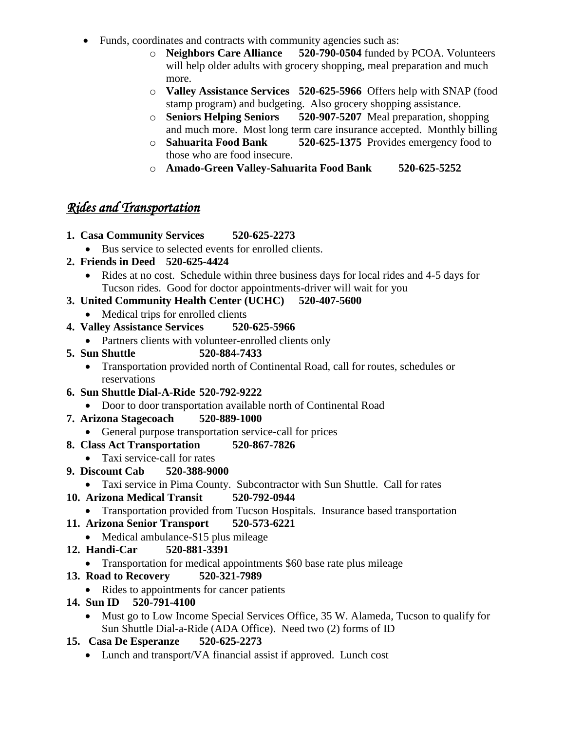- Funds, coordinates and contracts with community agencies such as:
	- o **Neighbors Care Alliance 520-790-0504** funded by PCOA. Volunteers will help older adults with grocery shopping, meal preparation and much more.
	- o **Valley Assistance Services 520-625-5966** Offers help with SNAP (food stamp program) and budgeting. Also grocery shopping assistance.
	- o **Seniors Helping Seniors 520-907-5207** Meal preparation, shopping and much more. Most long term care insurance accepted. Monthly billing
	- o **Sahuarita Food Bank 520-625-1375** Provides emergency food to those who are food insecure.
	- o **Amado-Green Valley-Sahuarita Food Bank 520-625-5252**

# *Rides and Transportation*

- **1. Casa Community Services 520-625-2273**
	- Bus service to selected events for enrolled clients.
- **2. Friends in Deed 520-625-4424**
	- Rides at no cost. Schedule within three business days for local rides and 4-5 days for Tucson rides. Good for doctor appointments-driver will wait for you
- **3. United Community Health Center (UCHC) 520-407-5600**
	- Medical trips for enrolled clients
- **4. Valley Assistance Services 520-625-5966**
	- Partners clients with volunteer-enrolled clients only
- **5. Sun Shuttle 520-884-7433**
	- Transportation provided north of Continental Road, call for routes, schedules or reservations
- **6. Sun Shuttle Dial-A-Ride 520-792-9222**
	- Door to door transportation available north of Continental Road
- **7. Arizona Stagecoach 520-889-1000**
	- General purpose transportation service-call for prices
- **8. Class Act Transportation 520-867-7826**
	- Taxi service-call for rates

# **9. Discount Cab 520-388-9000**

Taxi service in Pima County. Subcontractor with Sun Shuttle. Call for rates

# **10. Arizona Medical Transit 520-792-0944**

Transportation provided from Tucson Hospitals. Insurance based transportation

# **11. Arizona Senior Transport 520-573-6221**

• Medical ambulance-\$15 plus mileage

# **12. Handi-Car 520-881-3391**

• Transportation for medical appointments \$60 base rate plus mileage

# **13. Road to Recovery 520-321-7989**

• Rides to appointments for cancer patients

# **14. Sun ID 520-791-4100**

 Must go to Low Income Special Services Office, 35 W. Alameda, Tucson to qualify for Sun Shuttle Dial-a-Ride (ADA Office). Need two (2) forms of ID

# **15. Casa De Esperanze 520-625-2273**

Lunch and transport/VA financial assist if approved. Lunch cost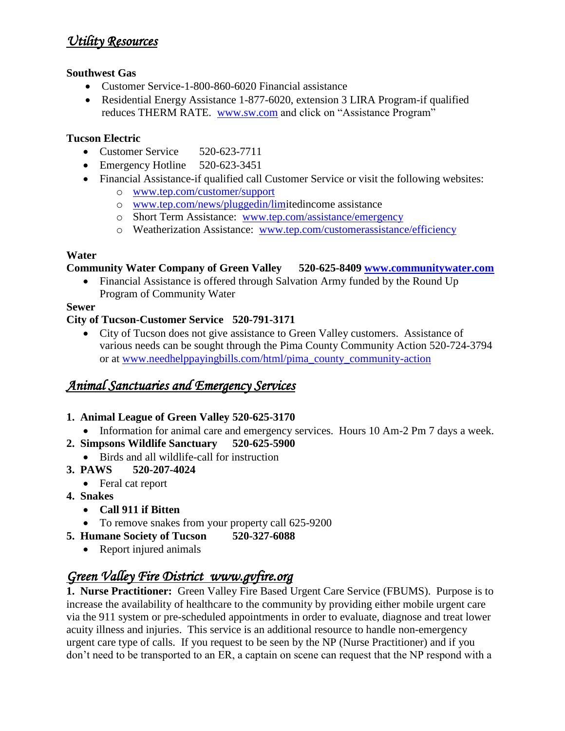# *Utility Resources*

### **Southwest Gas**

- Customer Service-1-800-860-6020 Financial assistance
- Residential Energy Assistance 1-877-6020, extension 3 LIRA Program-if qualified reduces THERM RATE. [www.sw.com](http://www.sw.com/) and click on "Assistance Program"

### **Tucson Electric**

- Customer Service 520-623-7711
- Emergency Hotline 520-623-3451
- Financial Assistance-if qualified call Customer Service or visit the following websites:
	- o [www.tep.com/customer/support](http://www.tep.com/customer/support)
	- o [www.tep.com/news/pluggedin/limi](http://www.tep.com/news/pluggedin/lim)tedincome assistance
	- o Short Term Assistance: [www.tep.com/assistance/emergency](http://www.tep.com/assistance/emergency)
	- o Weatherization Assistance: [www.tep.com/customerassistance/efficiency](http://www.tep.com/customerassistance/efficiency)

### **Water**

### **Community Water Company of Green Valley 520-625-8409 [www.communitywater.com](http://www.communitywater.com/)**

 Financial Assistance is offered through Salvation Army funded by the Round Up Program of Community Water

### **Sewer**

# **City of Tucson-Customer Service 520-791-3171**

 City of Tucson does not give assistance to Green Valley customers. Assistance of various needs can be sought through the Pima County Community Action 520-724-3794 or at [www.needhelppayingbills.com/html/pima\\_county\\_community-action](http://www.needhelppayingbills.com/html/pima_county_community-action)

# *Animal Sanctuaries and Emergency Services*

#### **1. Animal League of Green Valley 520-625-3170**

- Information for animal care and emergency services. Hours 10 Am-2 Pm 7 days a week.
- **2. Simpsons Wildlife Sanctuary 520-625-5900**
	- Birds and all wildlife-call for instruction
- **3. PAWS 520-207-4024**
	- Feral cat report
- **4. Snakes**
	- **Call 911 if Bitten**
	- To remove snakes from your property call 625-9200
- **5. Humane Society of Tucson 520-327-6088**
	- Report injured animals

# *Green Valley Fire District www.gvfire.org*

**1. Nurse Practitioner:** Green Valley Fire Based Urgent Care Service (FBUMS). Purpose is to increase the availability of healthcare to the community by providing either mobile urgent care via the 911 system or pre-scheduled appointments in order to evaluate, diagnose and treat lower acuity illness and injuries. This service is an additional resource to handle non-emergency urgent care type of calls. If you request to be seen by the NP (Nurse Practitioner) and if you don't need to be transported to an ER, a captain on scene can request that the NP respond with a